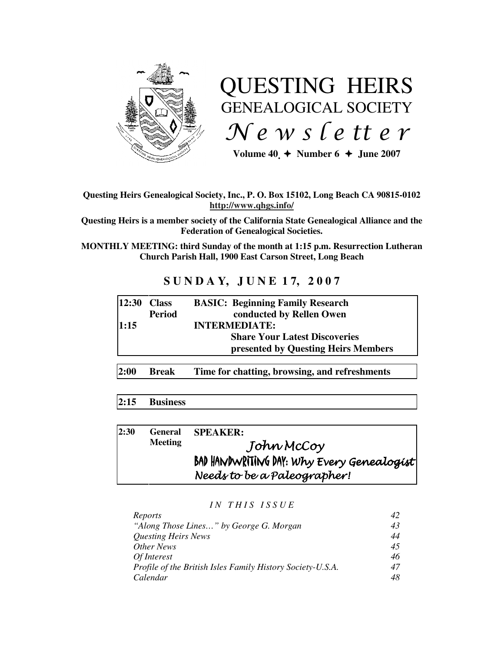

# QUESTING HEIRS GENEALOGICAL SOCIETY  $Ne$  w s letter

Volume  $40 \div \text{Number 6} \div \text{June } 2007$ 

## **Questing Heirs Genealogical Society, Inc., P. O. Box 15102, Long Beach CA 90815-0102 http://www.qhgs.info/**

**Questing Heirs is a member society of the California State Genealogical Alliance and the Federation of Genealogical Societies.** 

**MONTHLY MEETING: third Sunday of the month at 1:15 p.m. Resurrection Lutheran Church Parish Hall, 1900 East Carson Street, Long Beach** 

# **S U N D A Y, J U N E 1 7, 2 0 0 7**

| $ 12:30$ Class |               | <b>BASIC: Beginning Family Research</b> |
|----------------|---------------|-----------------------------------------|
|                | <b>Period</b> | conducted by Rellen Owen                |
| 1:15           |               | <b>INTERMEDIATE:</b>                    |
|                |               | <b>Share Your Latest Discoveries</b>    |
|                |               | presented by Questing Heirs Members     |
|                |               |                                         |

**2:00 Break Time for chatting, browsing, and refreshments** 

## **2:15 Business**

| 2:30 | <b>General</b><br><b>Meeting</b> | <b>SPEAKER:</b>                            |
|------|----------------------------------|--------------------------------------------|
|      |                                  | John McCoy                                 |
|      |                                  | BAD HANDWRITING DAY: Why Every Genealogist |
|      |                                  | Needs to be a Paleographer!                |

## *I N T H I S I S S U E*

| Reports                                                    |    |
|------------------------------------------------------------|----|
| "Along Those Lines" by George G. Morgan                    | 43 |
| <b>Questing Heirs News</b>                                 | 44 |
| Other News                                                 | 45 |
| Of Interest                                                | 46 |
| Profile of the British Isles Family History Society-U.S.A. | 47 |
| Calendar                                                   | 48 |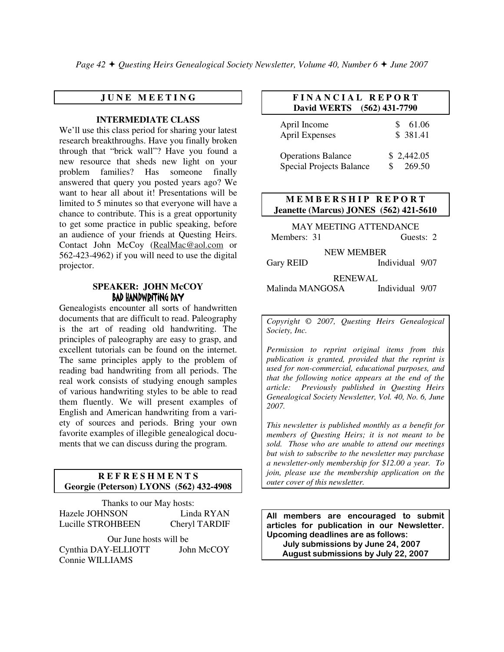*Page 42 + Ouesting Heirs Genealogical Society Newsletter, Volume 40, Number 6 + June 2007* 

## **J U N E M E E T I N G**

#### **INTERMEDIATE CLASS**

We'll use this class period for sharing your latest research breakthroughs. Have you finally broken through that "brick wall"? Have you found a new resource that sheds new light on your problem families? Has someone finally answered that query you posted years ago? We want to hear all about it! Presentations will be limited to 5 minutes so that everyone will have a chance to contribute. This is a great opportunity to get some practice in public speaking, before an audience of your friends at Questing Heirs. Contact John McCoy (RealMac@aol.com or 562-423-4962) if you will need to use the digital projector.

## **SPEAKER: JOHN McCOY**  BAD HANDWRITING DAY

Genealogists encounter all sorts of handwritten documents that are difficult to read. Paleography is the art of reading old handwriting. The principles of paleography are easy to grasp, and excellent tutorials can be found on the internet. The same principles apply to the problem of reading bad handwriting from all periods. The real work consists of studying enough samples of various handwriting styles to be able to read them fluently. We will present examples of English and American handwriting from a variety of sources and periods. Bring your own favorite examples of illegible genealogical documents that we can discuss during the program.

#### **R E F R E S H M E N T S Georgie (Peterson) LYONS (562) 432-4908**

Thanks to our May hosts: Hazele JOHNSON Linda RYAN Lucille STROHBEEN Cheryl TARDIF Our June hosts will be

| Cynthia DAY-ELLIOTT | John McCOY |
|---------------------|------------|
| Connie WILLIAMS     |            |

## **F I N A N C I A L R E P O R T David WERTS (562) 431-7790**

| April Income                    | 61.06      |
|---------------------------------|------------|
| <b>April Expenses</b>           | \$381.41   |
| <b>Operations Balance</b>       | \$2,442.05 |
| <b>Special Projects Balance</b> | 269.50     |

## **M E M B E R S H I P R E P O R T Jeanette (Marcus) JONES (562) 421-5610**

MAY MEETING ATTENDANCE Members: 31 Guests: 2

NEW MEMBER

Gary REID Individual 9/07

# RENEWAL

Malinda MANGOSA Individual 9/07

*Copyright* © *2007, Questing Heirs Genealogical Society, Inc.* 

*Permission to reprint original items from this publication is granted, provided that the reprint is used for non-commercial, educational purposes, and that the following notice appears at the end of the article: Previously published in Questing Heirs Genealogical Society Newsletter, Vol. 40, No. 6, June 2007.* 

*This newsletter is published monthly as a benefit for members of Questing Heirs; it is not meant to be sold. Those who are unable to attend our meetings but wish to subscribe to the newsletter may purchase a newsletter-only membership for \$12.00 a year. To join, please use the membership application on the outer cover of this newsletter.* 

All members are encouraged to submit articles for publication in our Newsletter. Upcoming deadlines are as follows: July submissions by June 24, 2007 August submissions by July 22, 2007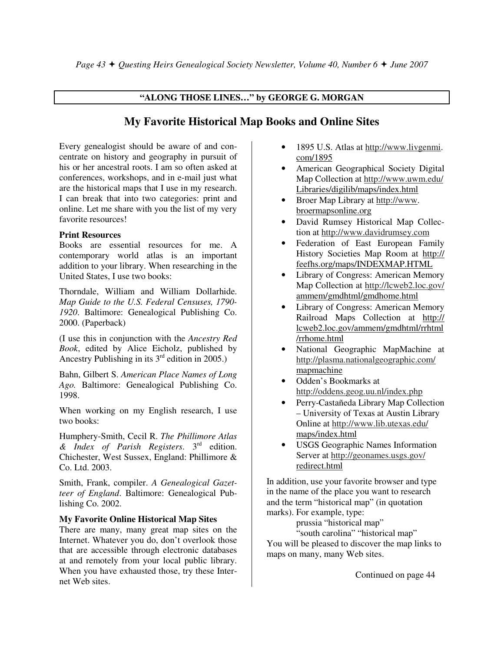## **"ALONG THOSE LINES…" by GEORGE G. MORGAN**

# **My Favorite Historical Map Books and Online Sites**

Every genealogist should be aware of and concentrate on history and geography in pursuit of his or her ancestral roots. I am so often asked at conferences, workshops, and in e-mail just what are the historical maps that I use in my research. I can break that into two categories: print and online. Let me share with you the list of my very favorite resources!

## **Print Resources**

Books are essential resources for me. A contemporary world atlas is an important addition to your library. When researching in the United States, I use two books:

Thorndale, William and William Dollarhide. *Map Guide to the U.S. Federal Censuses, 1790- 1920*. Baltimore: Genealogical Publishing Co. 2000. (Paperback)

(I use this in conjunction with the *Ancestry Red Book*, edited by Alice Eicholz, published by Ancestry Publishing in its  $3<sup>rd</sup>$  edition in 2005.)

Bahn, Gilbert S. *American Place Names of Long Ago.* Baltimore: Genealogical Publishing Co. 1998.

When working on my English research, I use two books:

Humphery-Smith, Cecil R. *The Phillimore Atlas & Index of Parish Registers*. 3rd edition. Chichester, West Sussex, England: Phillimore & Co. Ltd. 2003.

Smith, Frank, compiler. *A Genealogical Gazetteer of England*. Baltimore: Genealogical Publishing Co. 2002.

## **My Favorite Online Historical Map Sites**

There are many, many great map sites on the Internet. Whatever you do, don't overlook those that are accessible through electronic databases at and remotely from your local public library. When you have exhausted those, try these Internet Web sites.

- 1895 U.S. Atlas at http://www.livgenmi. com/1895
- American Geographical Society Digital Map Collection at http://www.uwm.edu/ Libraries/digilib/maps/index.html
- Broer Map Library at http://www. broermapsonline.org
- David Rumsey Historical Map Collection at http://www.davidrumsey.com
- Federation of East European Family History Societies Map Room at http:// feefhs.org/maps/INDEXMAP.HTML
- Library of Congress: American Memory Map Collection at http://lcweb2.loc.gov/ ammem/gmdhtml/gmdhome.html
- Library of Congress: American Memory Railroad Maps Collection at http:// lcweb2.loc.gov/ammem/gmdhtml/rrhtml /rrhome.html
- National Geographic MapMachine at http://plasma.nationalgeographic.com/ mapmachine
- Odden's Bookmarks at http://oddens.geog.uu.nl/index.php
- Perry-Castañeda Library Map Collection – University of Texas at Austin Library Online at http://www.lib.utexas.edu/ maps/index.html
- USGS Geographic Names Information Server at http://geonames.usgs.gov/ redirect.html

In addition, use your favorite browser and type in the name of the place you want to research and the term "historical map" (in quotation marks). For example, type:

prussia "historical map"

"south carolina" "historical map" You will be pleased to discover the map links to maps on many, many Web sites.

Continued on page 44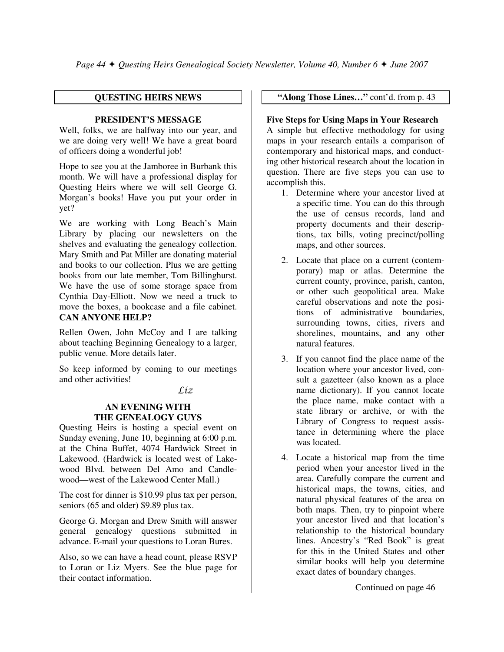## **QUESTING HEIRS NEWS**

## **PRESIDENT'S MESSAGE**

Well, folks, we are halfway into our year, and we are doing very well! We have a great board of officers doing a wonderful job!

Hope to see you at the Jamboree in Burbank this month. We will have a professional display for Questing Heirs where we will sell George G. Morgan's books! Have you put your order in yet?

We are working with Long Beach's Main Library by placing our newsletters on the shelves and evaluating the genealogy collection. Mary Smith and Pat Miller are donating material and books to our collection. Plus we are getting books from our late member, Tom Billinghurst. We have the use of some storage space from Cynthia Day-Elliott. Now we need a truck to move the boxes, a bookcase and a file cabinet. **CAN ANYONE HELP?**

Rellen Owen, John McCoy and I are talking about teaching Beginning Genealogy to a larger, public venue. More details later.

So keep informed by coming to our meetings and other activities!

Liz

## **AN EVENING WITH THE GENEALOGY GUYS**

Questing Heirs is hosting a special event on Sunday evening, June 10, beginning at 6:00 p.m. at the China Buffet, 4074 Hardwick Street in Lakewood. (Hardwick is located west of Lakewood Blvd. between Del Amo and Candlewood—west of the Lakewood Center Mall.)

The cost for dinner is \$10.99 plus tax per person, seniors (65 and older) \$9.89 plus tax.

George G. Morgan and Drew Smith will answer general genealogy questions submitted in advance. E-mail your questions to Loran Bures.

Also, so we can have a head count, please RSVP to Loran or Liz Myers. See the blue page for their contact information.

 **"Along Those Lines…"** cont'd. from p. 43

## **Five Steps for Using Maps in Your Research**

A simple but effective methodology for using maps in your research entails a comparison of contemporary and historical maps, and conducting other historical research about the location in question. There are five steps you can use to accomplish this.

- 1. Determine where your ancestor lived at a specific time. You can do this through the use of census records, land and property documents and their descriptions, tax bills, voting precinct/polling maps, and other sources.
- 2. Locate that place on a current (contemporary) map or atlas. Determine the current county, province, parish, canton, or other such geopolitical area. Make careful observations and note the positions of administrative boundaries, surrounding towns, cities, rivers and shorelines, mountains, and any other natural features.
- 3. If you cannot find the place name of the location where your ancestor lived, consult a gazetteer (also known as a place name dictionary). If you cannot locate the place name, make contact with a state library or archive, or with the Library of Congress to request assistance in determining where the place was located.
- 4. Locate a historical map from the time period when your ancestor lived in the area. Carefully compare the current and historical maps, the towns, cities, and natural physical features of the area on both maps. Then, try to pinpoint where your ancestor lived and that location's relationship to the historical boundary lines. Ancestry's "Red Book" is great for this in the United States and other similar books will help you determine exact dates of boundary changes.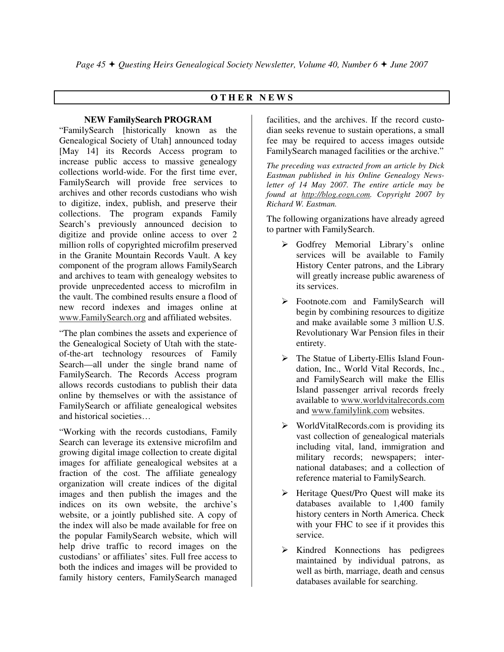## **O T H E R N E W S**

## **NEW FamilySearch PROGRAM**

"FamilySearch [historically known as the Genealogical Society of Utah] announced today [May 14] its Records Access program to increase public access to massive genealogy collections world-wide. For the first time ever, FamilySearch will provide free services to archives and other records custodians who wish to digitize, index, publish, and preserve their collections. The program expands Family Search's previously announced decision to digitize and provide online access to over 2 million rolls of copyrighted microfilm preserved in the Granite Mountain Records Vault. A key component of the program allows FamilySearch and archives to team with genealogy websites to provide unprecedented access to microfilm in the vault. The combined results ensure a flood of new record indexes and images online at www.FamilySearch.org and affiliated websites.

"The plan combines the assets and experience of the Genealogical Society of Utah with the stateof-the-art technology resources of Family Search—all under the single brand name of FamilySearch. The Records Access program allows records custodians to publish their data online by themselves or with the assistance of FamilySearch or affiliate genealogical websites and historical societies…

"Working with the records custodians, Family Search can leverage its extensive microfilm and growing digital image collection to create digital images for affiliate genealogical websites at a fraction of the cost. The affiliate genealogy organization will create indices of the digital images and then publish the images and the indices on its own website, the archive's website, or a jointly published site. A copy of the index will also be made available for free on the popular FamilySearch website, which will help drive traffic to record images on the custodians' or affiliates' sites. Full free access to both the indices and images will be provided to family history centers, FamilySearch managed

facilities, and the archives. If the record custodian seeks revenue to sustain operations, a small fee may be required to access images outside FamilySearch managed facilities or the archive."

*The preceding was extracted from an article by Dick Eastman published in his Online Genealogy Newsletter of 14 May 2007. The entire article may be found at http://blog.eogn.com. Copyright 2007 by Richard W. Eastman.* 

The following organizations have already agreed to partner with FamilySearch.

- Godfrey Memorial Library's online services will be available to Family History Center patrons, and the Library will greatly increase public awareness of its services.
- Footnote.com and FamilySearch will begin by combining resources to digitize and make available some 3 million U.S. Revolutionary War Pension files in their entirety.
- > The Statue of Liberty-Ellis Island Foundation, Inc., World Vital Records, Inc., and FamilySearch will make the Ellis Island passenger arrival records freely available to www.worldvitalrecords.com and www.familylink.com websites.
- ▶ WorldVitalRecords.com is providing its vast collection of genealogical materials including vital, land, immigration and military records; newspapers; international databases; and a collection of reference material to FamilySearch.
- > Heritage Quest/Pro Quest will make its databases available to 1,400 family history centers in North America. Check with your FHC to see if it provides this service.
- > Kindred Konnections has pedigrees maintained by individual patrons, as well as birth, marriage, death and census databases available for searching.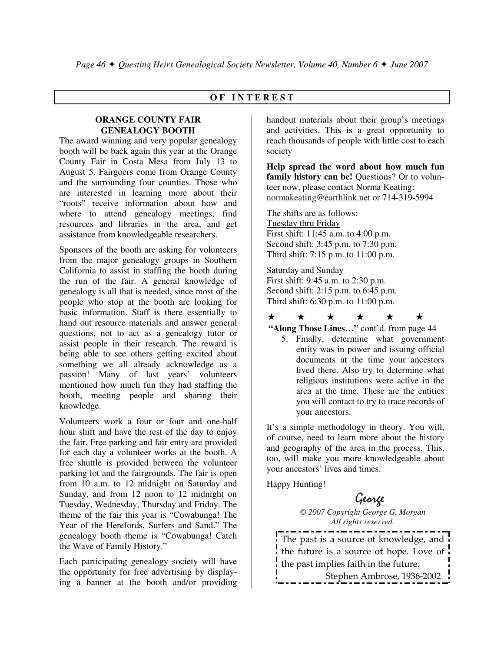## **O F I N T E R E S T**

## **ORANGE COUNTY FAIR GENEALOGY BOOTH**

The award winning and very popular genealogy booth will be back again this year at the Orange County Fair in Costa Mesa from July 13 to August 5. Fairgoers come from Orange County and the surrounding four counties. Those who are interested in learning more about their "roots" receive information about how and where to attend genealogy meetings, find resources and libraries in the area, and get assistance from knowledgeable researchers.

Sponsors of the booth are asking for volunteers from the major genealogy groups in Southern California to assist in staffing the booth during the run of the fair. A general knowledge of genealogy is all that is needed, since most of the people who stop at the booth are looking for basic information. Staff is there essentially to hand out resource materials and answer general questions, not to act as a genealogy tutor or assist people in their research. The reward is being able to see others getting excited about something we all already acknowledge as a passion! Many of last years' volunteers mentioned how much fun they had staffing the booth, meeting people and sharing their knowledge.

Volunteers work a four or four and one-half hour shift and have the rest of the day to enjoy the fair. Free parking and fair entry are provided for each day a volunteer works at the booth. A free shuttle is provided between the volunteer parking lot and the fairgrounds. The fair is open from 10 a.m. to 12 midnight on Saturday and Sunday, and from 12 noon to 12 midnight on Tuesday, Wednesday, Thursday and Friday. The theme of the fair this year is "Cowabunga! The Year of the Herefords, Surfers and Sand." The genealogy booth theme is "Cowabunga! Catch the Wave of Family History."

Each participating genealogy society will have the opportunity for free advertising by displaying a banner at the booth and/or providing

handout materials about their group's meetings and activities. This is a great opportunity to reach thousands of people with little cost to each society

**Help spread the word about how much fun**  family history can be! Questions? Or to volunteer now, please contact Norma Keating: normakeating@earthlink.net or 714-319-5994

The shifts are as follows: Tuesday thru Friday First shift: 11:45 a.m. to 4:00 p.m. Second shift: 3:45 p.m. to 7:30 p.m. Third shift: 7:15 p.m. to 11:00 p.m.

Saturday and Sunday First shift: 9:45 a.m. to 2:30 p.m. Second shift: 2:15 p.m. to 6:45 p.m. Third shift: 6:30 p.m. to 11:00 p.m.

 $\star$  $\bm{\bm{\downarrow}}$  $\overrightarrow{ }$  $\bigstar$  $\star$  $\overrightarrow{ }$ 

**"Along Those Lines…"** cont'd. from page 44

5. Finally, determine what government entity was in power and issuing official documents at the time your ancestors lived there. Also try to determine what religious institutions were active in the area at the time. These are the entities you will contact to try to trace records of your ancestors.

It's a simple methodology in theory. You will, of course, need to learn more about the history and geography of the area in the process. This, too, will make you more knowledgeable about your ancestors' lives and times.

Happy Hunting!

# George

*© 2007 Copyright George G. Morgan All rights reserved.* 

The past is a source of knowledge, and the future is a source of hope. Love of the past implies faith in the future. Stephen Ambrose, 1936-2002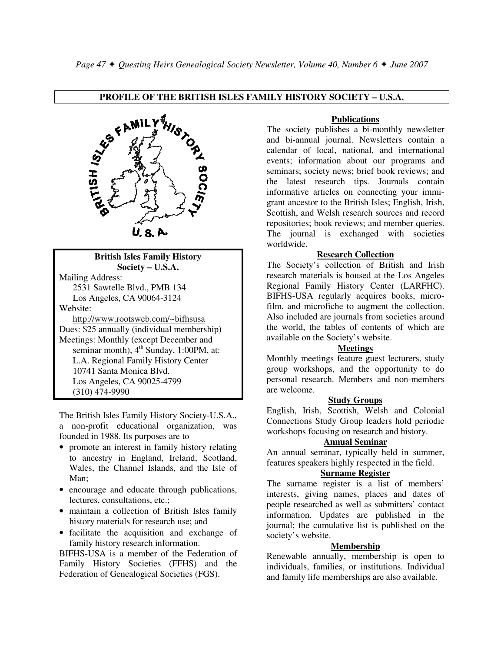## **PROFILE OF THE BRITISH ISLES FAMILY HISTORY SOCIETY – U.S.A.**



#### **British Isles Family History Society – U.S.A.**

Mailing Address: 2531 Sawtelle Blvd., PMB 134 Los Angeles, CA 90064-3124 Website:

 http://www.rootsweb.com/~bifhsusa Dues: \$25 annually (individual membership) Meetings: Monthly (except December and seminar month),  $4<sup>th</sup>$  Sunday, 1:00PM, at: L.A. Regional Family History Center 10741 Santa Monica Blvd. Los Angeles, CA 90025-4799 (310) 474-9990

The British Isles Family History Society-U.S.A., a non-profit educational organization, was founded in 1988. Its purposes are to

- promote an interest in family history relating to ancestry in England, Ireland, Scotland, Wales, the Channel Islands, and the Isle of Man;
- encourage and educate through publications, lectures, consultations, etc.;
- maintain a collection of British Isles family history materials for research use; and
- facilitate the acquisition and exchange of family history research information.

BIFHS-USA is a member of the Federation of Family History Societies (FFHS) and the Federation of Genealogical Societies (FGS).

#### **Publications**

The society publishes a bi-monthly newsletter and bi-annual journal. Newsletters contain a calendar of local, national, and international events; information about our programs and seminars; society news; brief book reviews; and the latest research tips. Journals contain informative articles on connecting your immigrant ancestor to the British Isles; English, Irish, Scottish, and Welsh research sources and record repositories; book reviews; and member queries. The journal is exchanged with societies worldwide.

#### **Research Collection**

The Society's collection of British and Irish research materials is housed at the Los Angeles Regional Family History Center (LARFHC). BIFHS-USA regularly acquires books, microfilm, and microfiche to augment the collection. Also included are journals from societies around the world, the tables of contents of which are available on the Society's website.

### **Meetings**

Monthly meetings feature guest lecturers, study group workshops, and the opportunity to do personal research. Members and non-members are welcome.

#### **Study Groups**

English, Irish, Scottish, Welsh and Colonial Connections Study Group leaders hold periodic workshops focusing on research and history.

#### **Annual Seminar**

An annual seminar, typically held in summer, features speakers highly respected in the field.

## **Surname Register**

The surname register is a list of members' interests, giving names, places and dates of people researched as well as submitters' contact information. Updates are published in the journal; the cumulative list is published on the society's website.

#### **Membership**

Renewable annually, membership is open to individuals, families, or institutions. Individual and family life memberships are also available.